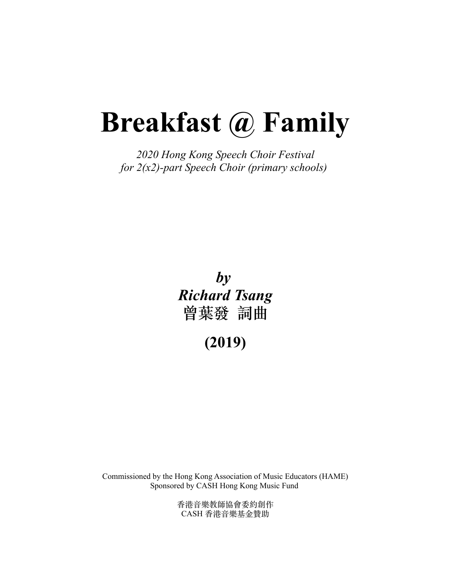# **Breakfast @ Family**

*2020 Hong Kong Speech Choir Festival for 2(x2)-part Speech Choir (primary schools)*

> **曾葉發 詞曲** *by Richard Tsang*

> > **(2019)**

Commissioned by the Hong Kong Association of Music Educators (HAME) Sponsored by CASH Hong Kong Music Fund

> ⾹港⾳樂教師協會委約創作 rie a 未获哑励自安约副计<br>CASH 香港音樂基金贊助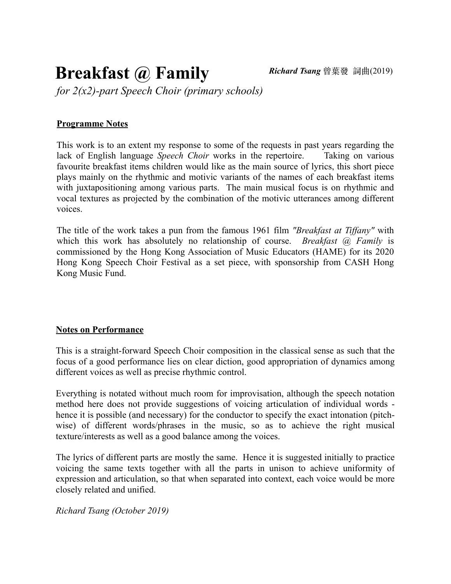### **Breakfast @ Family**

*for 2(x2)-part Speech Choir (primary schools)*

#### **Programme Notes**

This work is to an extent my response to some of the requests in past years regarding the lack of English language *Speech Choir* works in the repertoire. Taking on various Favourite breakfast items children would like as the main source of lyrics, this short piece plays mainly on the rhythmic and motivic variants of the names of each breakfast items with juxtapositioning among various parts. The main musical focus is on rhythmic and vocal textures as projected by the combination of the motivic utterances among different voices.

The title of the work takes a pun from the famous 1961 film *"Breakfast at Tiffany"* with which this work has absolutely no relationship of course. *Breakfast @ Family* is which this work has absolutely no relationship of course. *Breakflust* (*C*)  $I$  antly is<br>commissioned by the Hong Kong Association of Music Educators (HAME) for its 2020 Hong Kong Speech Choir Festival as a set piece, with sponsorship from CASH Hong nong Rong Speech Cl<br>Kong Music Fund.

#### **Notes on Performance**

This is a straight-forward Speech Choir composition in the classical sense as such that the focus of a good performance lies on clear diction, good appropriation of dynamics among different voices as well as precise rhythmic control.

Everything is notated without much room for improvisation, although the speech notation Everyding is notated which method here hold the room to improvisation, atthough the speech hold to method here does not provide suggestions of voicing articulation of individual words - hence it is possible (and pages are) hence it is possible (and necessary) for the conductor to specify the exact intonation (pitchwise) of different words/phrases in the music, so as to achieve the right musical texture/interests as well as a good balance among the voices.

The lyrics of different parts are mostly the same. Hence it is suggested initially to practice voicing the same texts together with all the parts in unison to achieve uniformity of expression and articulation, so that when separated into context, each voice would be more expression and articulation, so

*Richard Tsang (October 2019)*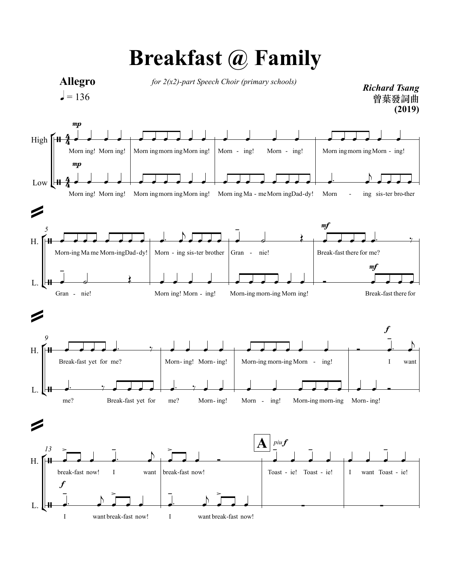

## **Breakfast @ Family**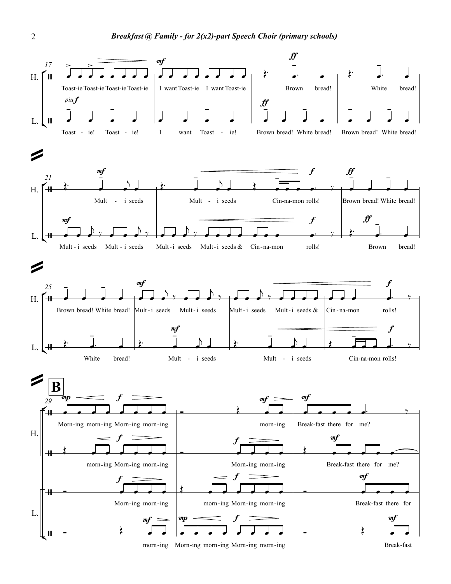

-ing Morn -ing morn-ing Morn -ing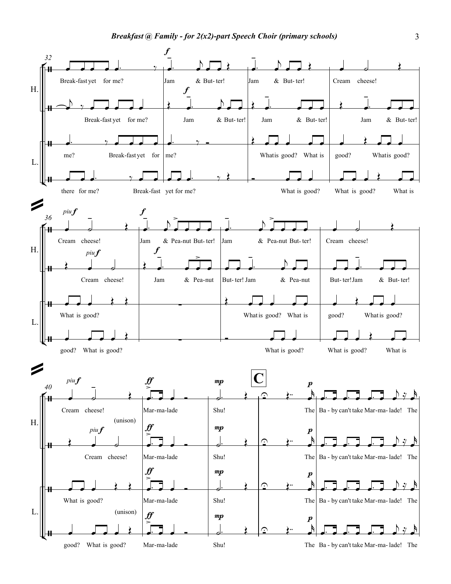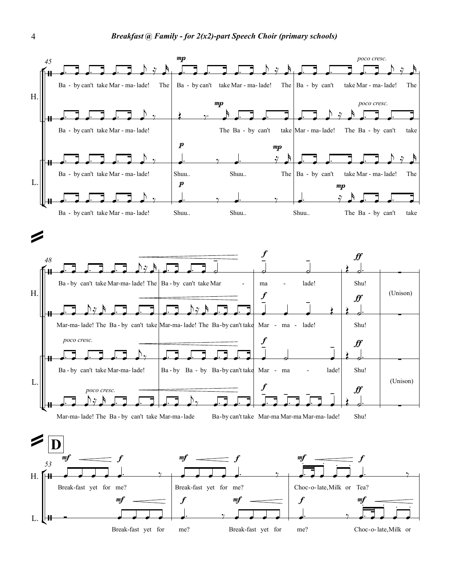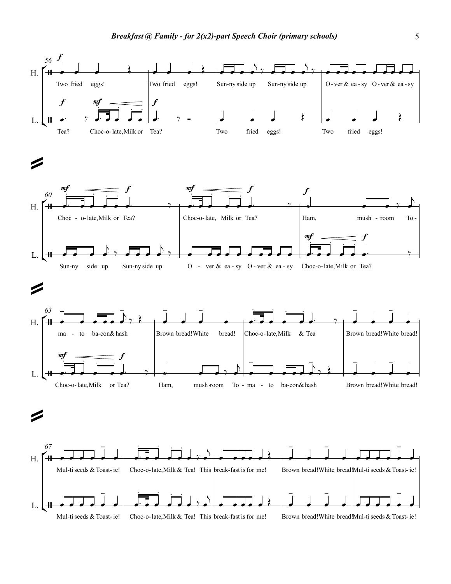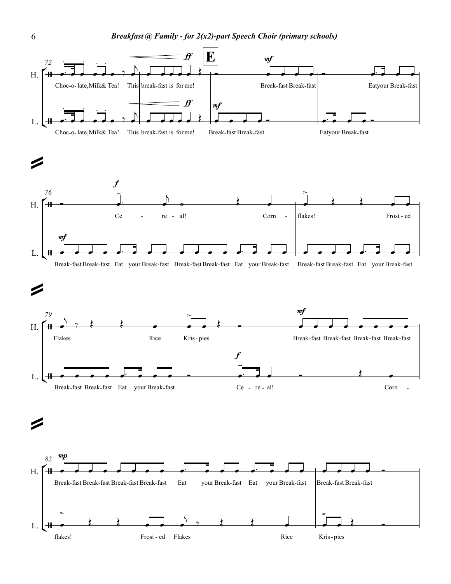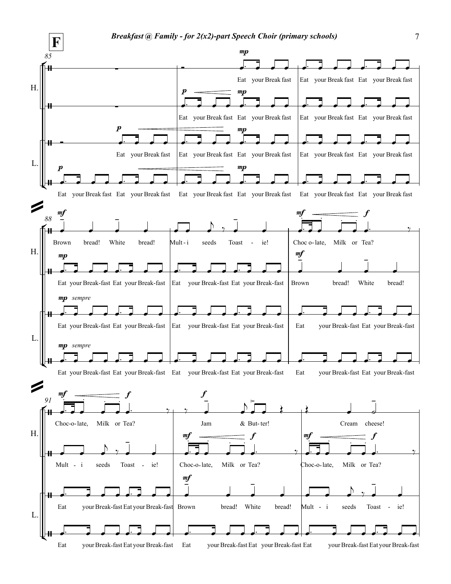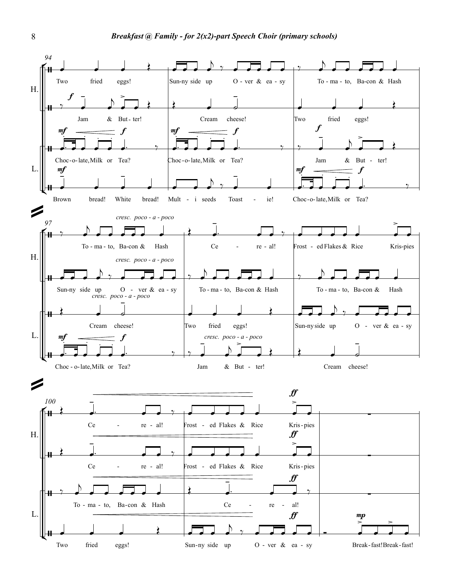